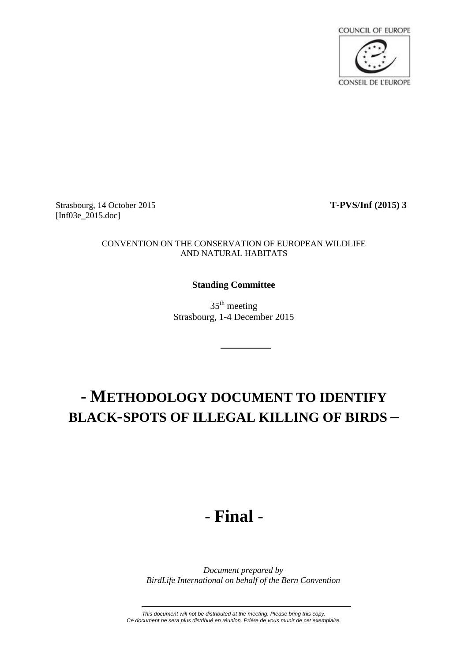

Strasbourg, 14 October 2015 **T-PVS/Inf (2015) 3** [Inf03e\_2015.doc]

#### CONVENTION ON THE CONSERVATION OF EUROPEAN WILDLIFE AND NATURAL HABITATS

## **Standing Committee**

 $35<sup>th</sup>$  meeting Strasbourg, 1-4 December 2015

# **- METHODOLOGY DOCUMENT TO IDENTIFY BLACK-SPOTS OF ILLEGAL KILLING OF BIRDS –**

# *-* **Final** *-*

*Document prepared by BirdLife International on behalf of the Bern Convention*

*This document will not be distributed at the meeting. Please bring this copy. Ce document ne sera plus distribué en réunion. Prière de vous munir de cet exemplaire.*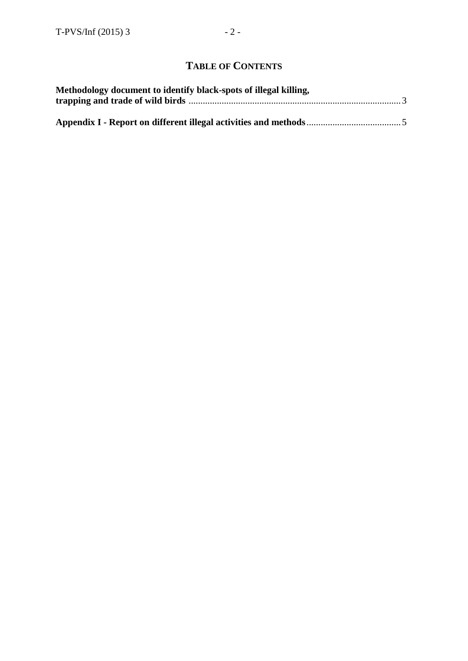# **TABLE OF CONTENTS**

| Methodology document to identify black-spots of illegal killing, |  |
|------------------------------------------------------------------|--|
|                                                                  |  |
|                                                                  |  |
|                                                                  |  |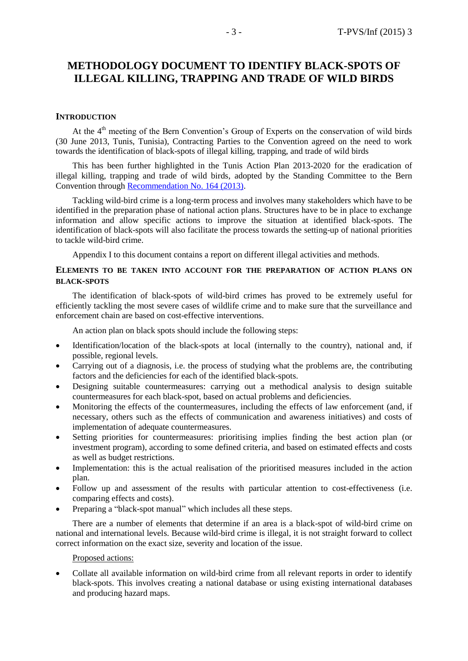# **METHODOLOGY DOCUMENT TO IDENTIFY BLACK-SPOTS OF ILLEGAL KILLING, TRAPPING AND TRADE OF WILD BIRDS**

#### **INTRODUCTION**

At the  $4<sup>th</sup>$  meeting of the Bern Convention's Group of Experts on the conservation of wild birds (30 June 2013, Tunis, Tunisia), Contracting Parties to the Convention agreed on the need to work towards the identification of black-spots of illegal killing, trapping, and trade of wild birds

This has been further highlighted in the Tunis Action Plan 2013-2020 for the eradication of illegal killing, trapping and trade of wild birds, adopted by the Standing Committee to the Bern Convention through [Recommendation No. 164 \(2013\).](https://wcd.coe.int/ViewDoc.jsp?id=2138467&Site=&BackColorInternet=B9BDEE&BackColorIntranet=FFCD4F&BackColorLogged=FFC679)

Tackling wild-bird crime is a long-term process and involves many stakeholders which have to be identified in the preparation phase of national action plans. Structures have to be in place to exchange information and allow specific actions to improve the situation at identified black-spots. The identification of black-spots will also facilitate the process towards the setting-up of national priorities to tackle wild-bird crime.

Appendix I to this document contains a report on different illegal activities and methods.

#### **ELEMENTS TO BE TAKEN INTO ACCOUNT FOR THE PREPARATION OF ACTION PLANS ON BLACK-SPOTS**

The identification of black-spots of wild-bird crimes has proved to be extremely useful for efficiently tackling the most severe cases of wildlife crime and to make sure that the surveillance and enforcement chain are based on cost-effective interventions.

An action plan on black spots should include the following steps:

- Identification/location of the black-spots at local (internally to the country), national and, if possible, regional levels.
- Carrying out of a diagnosis, i.e. the process of studying what the problems are, the contributing factors and the deficiencies for each of the identified black-spots.
- Designing suitable countermeasures: carrying out a methodical analysis to design suitable countermeasures for each black-spot, based on actual problems and deficiencies.
- Monitoring the effects of the countermeasures, including the effects of law enforcement (and, if necessary, others such as the effects of communication and awareness initiatives) and costs of implementation of adequate countermeasures.
- Setting priorities for countermeasures: prioritising implies finding the best action plan (or investment program), according to some defined criteria, and based on estimated effects and costs as well as budget restrictions.
- Implementation: this is the actual realisation of the prioritised measures included in the action plan.
- Follow up and assessment of the results with particular attention to cost-effectiveness (i.e. comparing effects and costs).
- Preparing a "black-spot manual" which includes all these steps.

There are a number of elements that determine if an area is a black-spot of wild-bird crime on national and international levels. Because wild-bird crime is illegal, it is not straight forward to collect correct information on the exact size, severity and location of the issue.

#### Proposed actions:

 Collate all available information on wild-bird crime from all relevant reports in order to identify black-spots. This involves creating a national database or using existing international databases and producing hazard maps.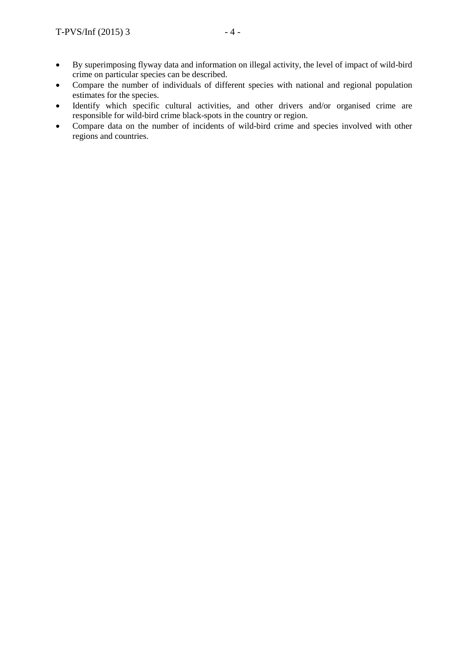- crime on particular species can be described. Compare the number of individuals of different species with national and regional population estimates for the species.
- Identify which specific cultural activities, and other drivers and/or organised crime are responsible for wild-bird crime black-spots in the country or region.
- Compare data on the number of incidents of wild-bird crime and species involved with other regions and countries.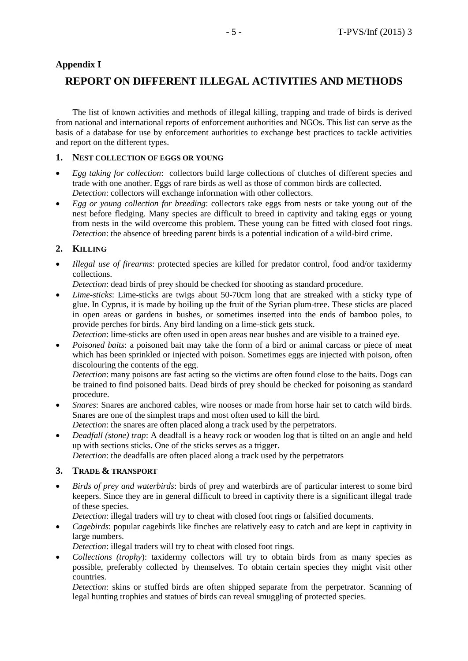# **Appendix I**

# **REPORT ON DIFFERENT ILLEGAL ACTIVITIES AND METHODS**

The list of known activities and methods of illegal killing, trapping and trade of birds is derived from national and international reports of enforcement authorities and NGOs. This list can serve as the basis of a database for use by enforcement authorities to exchange best practices to tackle activities and report on the different types.

### **1. NEST COLLECTION OF EGGS OR YOUNG**

- *Egg taking for collection*: collectors build large collections of clutches of different species and trade with one another. Eggs of rare birds as well as those of common birds are collected. *Detection*: collectors will exchange information with other collectors.
- *Egg or young collection for breeding*: collectors take eggs from nests or take young out of the nest before fledging. Many species are difficult to breed in captivity and taking eggs or young from nests in the wild overcome this problem. These young can be fitted with closed foot rings. *Detection*: the absence of breeding parent birds is a potential indication of a wild-bird crime.

## **2. KILLING**

 *Illegal use of firearms*: protected species are killed for predator control, food and/or taxidermy collections.

*Detection*: dead birds of prey should be checked for shooting as standard procedure.

 *Lime-sticks*: Lime-sticks are twigs about 50-70cm long that are streaked with a sticky type of glue. In Cyprus, it is made by boiling up the fruit of the Syrian plum-tree. These sticks are placed in open areas or gardens in bushes, or sometimes inserted into the ends of bamboo poles, to provide perches for birds. Any bird landing on a lime-stick gets stuck.

*Detection*: lime-sticks are often used in open areas near bushes and are visible to a trained eye.

 *Poisoned baits*: a poisoned bait may take the form of a bird or animal carcass or piece of meat which has been sprinkled or injected with poison. Sometimes eggs are injected with poison, often discolouring the contents of the egg.

*Detection*: many poisons are fast acting so the victims are often found close to the baits. Dogs can be trained to find poisoned baits. Dead birds of prey should be checked for poisoning as standard procedure.

- *Snares*: Snares are anchored cables, wire nooses or made from horse hair set to catch wild birds. Snares are one of the simplest traps and most often used to kill the bird. *Detection*: the snares are often placed along a track used by the perpetrators.
- *Deadfall (stone) trap*: A deadfall is a heavy rock or wooden log that is tilted on an angle and held up with sections sticks. One of the sticks serves as a trigger.

*Detection*: the deadfalls are often placed along a track used by the perpetrators

## **3. TRADE & TRANSPORT**

 *Birds of prey and waterbirds*: birds of prey and waterbirds are of particular interest to some bird keepers. Since they are in general difficult to breed in captivity there is a significant illegal trade of these species.

*Detection*: illegal traders will try to cheat with closed foot rings or falsified documents.

 *Cagebirds*: popular cagebirds like finches are relatively easy to catch and are kept in captivity in large numbers.

*Detection*: illegal traders will try to cheat with closed foot rings.

• *Collections (trophy)*: taxidermy collectors will try to obtain birds from as many species as possible, preferably collected by themselves. To obtain certain species they might visit other countries.

*Detection*: skins or stuffed birds are often shipped separate from the perpetrator. Scanning of legal hunting trophies and statues of birds can reveal smuggling of protected species.